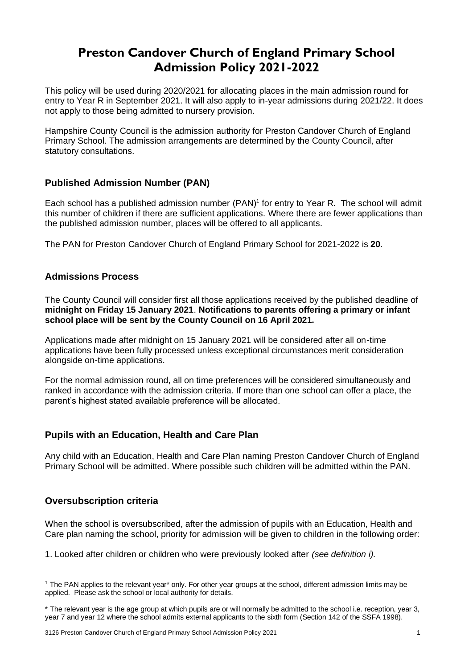# **Preston Candover Church of England Primary School Admission Policy 2021-2022**

This policy will be used during 2020/2021 for allocating places in the main admission round for entry to Year R in September 2021. It will also apply to in-year admissions during 2021/22. It does not apply to those being admitted to nursery provision.

Hampshire County Council is the admission authority for Preston Candover Church of England Primary School. The admission arrangements are determined by the County Council, after statutory consultations.

# **Published Admission Number (PAN)**

Each school has a published admission number (PAN)<sup>1</sup> for entry to Year R. The school will admit this number of children if there are sufficient applications. Where there are fewer applications than the published admission number, places will be offered to all applicants.

The PAN for Preston Candover Church of England Primary School for 2021-2022 is **20**.

# **Admissions Process**

The County Council will consider first all those applications received by the published deadline of **midnight on Friday 15 January 2021**. **Notifications to parents offering a primary or infant school place will be sent by the County Council on 16 April 2021.**

Applications made after midnight on 15 January 2021 will be considered after all on-time applications have been fully processed unless exceptional circumstances merit consideration alongside on-time applications.

For the normal admission round, all on time preferences will be considered simultaneously and ranked in accordance with the admission criteria. If more than one school can offer a place, the parent's highest stated available preference will be allocated.

# **Pupils with an Education, Health and Care Plan**

Any child with an Education, Health and Care Plan naming Preston Candover Church of England Primary School will be admitted. Where possible such children will be admitted within the PAN.

# **Oversubscription criteria**

When the school is oversubscribed, after the admission of pupils with an Education, Health and Care plan naming the school, priority for admission will be given to children in the following order:

1. Looked after children or children who were previously looked after *(see definition i).* 

<sup>&</sup>lt;sup>1</sup> The PAN applies to the relevant year<sup>\*</sup> only. For other year groups at the school, different admission limits may be applied. Please ask the school or local authority for details.

<sup>\*</sup> The relevant year is the age group at which pupils are or will normally be admitted to the school i.e. reception, year 3, year 7 and year 12 where the school admits external applicants to the sixth form (Section 142 of the SSFA 1998).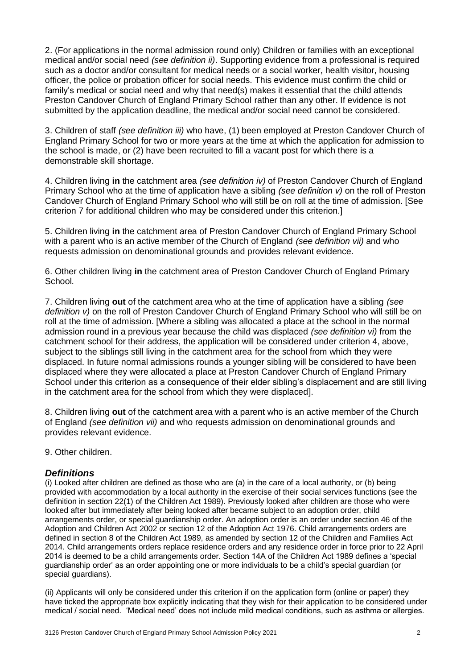2. (For applications in the normal admission round only) Children or families with an exceptional medical and/or social need *(see definition ii)*. Supporting evidence from a professional is required such as a doctor and/or consultant for medical needs or a social worker, health visitor, housing officer, the police or probation officer for social needs. This evidence must confirm the child or family's medical or social need and why that need(s) makes it essential that the child attends Preston Candover Church of England Primary School rather than any other. If evidence is not submitted by the application deadline, the medical and/or social need cannot be considered.

3. Children of staff *(see definition iii)* who have, (1) been employed at Preston Candover Church of England Primary School for two or more years at the time at which the application for admission to the school is made, or (2) have been recruited to fill a vacant post for which there is a demonstrable skill shortage.

4. Children living **in** the catchment area *(see definition iv)* of Preston Candover Church of England Primary School who at the time of application have a sibling *(see definition v)* on the roll of Preston Candover Church of England Primary School who will still be on roll at the time of admission. [See criterion 7 for additional children who may be considered under this criterion.]

5. Children living **in** the catchment area of Preston Candover Church of England Primary School with a parent who is an active member of the Church of England *(see definition vii)* and who requests admission on denominational grounds and provides relevant evidence.

6. Other children living **in** the catchment area of Preston Candover Church of England Primary School*.*

7. Children living **out** of the catchment area who at the time of application have a sibling *(see definition v)* on the roll of Preston Candover Church of England Primary School who will still be on roll at the time of admission. [Where a sibling was allocated a place at the school in the normal admission round in a previous year because the child was displaced *(see definition vi)* from the catchment school for their address, the application will be considered under criterion 4, above, subject to the siblings still living in the catchment area for the school from which they were displaced. In future normal admissions rounds a younger sibling will be considered to have been displaced where they were allocated a place at Preston Candover Church of England Primary School under this criterion as a consequence of their elder sibling's displacement and are still living in the catchment area for the school from which they were displaced].

8. Children living **out** of the catchment area with a parent who is an active member of the Church of England *(see definition vii)* and who requests admission on denominational grounds and provides relevant evidence.

9. Other children.

# *Definitions*

(i) Looked after children are defined as those who are (a) in the care of a local authority, or (b) being provided with accommodation by a local authority in the exercise of their social services functions (see the definition in section 22(1) of the Children Act 1989). Previously looked after children are those who were looked after but immediately after being looked after became subject to an adoption order, child arrangements order, or special guardianship order. An adoption order is an order under section 46 of the Adoption and Children Act 2002 or section 12 of the Adoption Act 1976. Child arrangements orders are defined in section 8 of the Children Act 1989, as amended by section 12 of the Children and Families Act 2014. Child arrangements orders replace residence orders and any residence order in force prior to 22 April 2014 is deemed to be a child arrangements order. Section 14A of the Children Act 1989 defines a 'special guardianship order' as an order appointing one or more individuals to be a child's special guardian (or special guardians).

(ii) Applicants will only be considered under this criterion if on the application form (online or paper) they have ticked the appropriate box explicitly indicating that they wish for their application to be considered under medical / social need. 'Medical need' does not include mild medical conditions, such as asthma or allergies.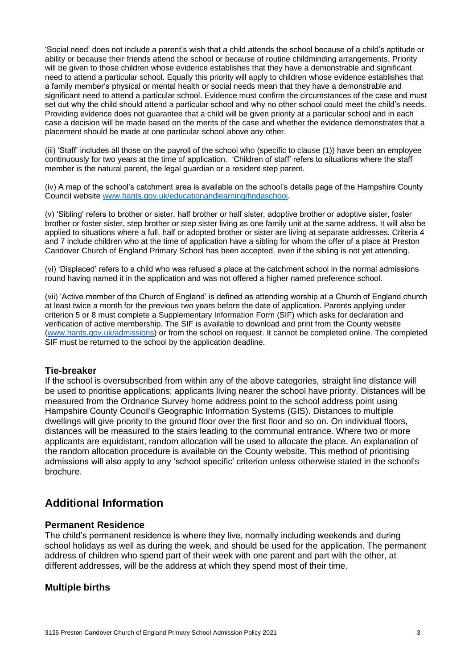'Social need' does not include a parent's wish that a child attends the school because of a child's aptitude or ability or because their friends attend the school or because of routine childminding arrangements. Priority will be given to those children whose evidence establishes that they have a demonstrable and significant need to attend a particular school. Equally this priority will apply to children whose evidence establishes that a family member's physical or mental health or social needs mean that they have a demonstrable and significant need to attend a particular school. Evidence must confirm the circumstances of the case and must set out why the child should attend a particular school and why no other school could meet the child's needs. Providing evidence does not guarantee that a child will be given priority at a particular school and in each case a decision will be made based on the merits of the case and whether the evidence demonstrates that a placement should be made at one particular school above any other.

(iii) 'Staff' includes all those on the payroll of the school who (specific to clause (1)) have been an employee continuously for two years at the time of application. 'Children of staff' refers to situations where the staff member is the natural parent, the legal guardian or a resident step parent.

(iv) A map of the school's catchment area is available on the school's details page of the Hampshire County Council website [www.hants.gov.uk/educationandlearning/findaschool.](http://www.hants.gov.uk/educationandlearning/findaschool)

(v) 'Sibling' refers to brother or sister, half brother or half sister, adoptive brother or adoptive sister, foster brother or foster sister, step brother or step sister living as one family unit at the same address. It will also be applied to situations where a full, half or adopted brother or sister are living at separate addresses. Criteria 4 and 7 include children who at the time of application have a sibling for whom the offer of a place at Preston Candover Church of England Primary School has been accepted, even if the sibling is not yet attending.

(vi) 'Displaced' refers to a child who was refused a place at the catchment school in the normal admissions round having named it in the application and was not offered a higher named preference school.

(vii) 'Active member of the Church of England' is defined as attending worship at a Church of England church at least twice a month for the previous two years before the date of application. Parents applying under criterion 5 or 8 must complete a Supplementary Information Form (SIF) which asks for declaration and verification of active membership. The SIF is available to download and print from the County website [\(www.hants.gov.uk/admissions\)](http://www.hants.gov.uk/admissions) or from the school on request. It cannot be completed online. The completed SIF must be returned to the school by the application deadline.

# **Tie-breaker**

If the school is oversubscribed from within any of the above categories, straight line distance will be used to prioritise applications; applicants living nearer the school have priority. Distances will be measured from the Ordnance Survey home address point to the school address point using Hampshire County Council's Geographic Information Systems (GIS). Distances to multiple dwellings will give priority to the ground floor over the first floor and so on. On individual floors, distances will be measured to the stairs leading to the communal entrance. Where two or more applicants are equidistant, random allocation will be used to allocate the place. An explanation of the random allocation procedure is available on the County website. This method of prioritising admissions will also apply to any 'school specific' criterion unless otherwise stated in the school's brochure.

# **Additional Information**

#### **Permanent Residence**

The child's permanent residence is where they live, normally including weekends and during school holidays as well as during the week, and should be used for the application. The permanent address of children who spend part of their week with one parent and part with the other, at different addresses, will be the address at which they spend most of their time.

# **Multiple births**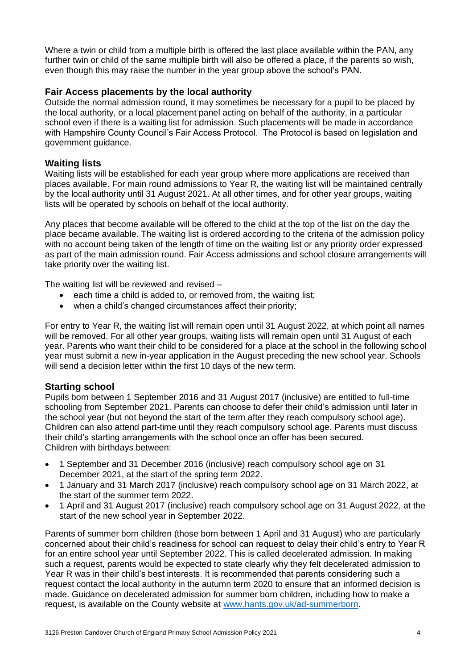Where a twin or child from a multiple birth is offered the last place available within the PAN, any further twin or child of the same multiple birth will also be offered a place, if the parents so wish, even though this may raise the number in the year group above the school's PAN.

# **Fair Access placements by the local authority**

Outside the normal admission round, it may sometimes be necessary for a pupil to be placed by the local authority, or a local placement panel acting on behalf of the authority, in a particular school even if there is a waiting list for admission. Such placements will be made in accordance with Hampshire County Council's Fair Access Protocol. The Protocol is based on legislation and government guidance.

# **Waiting lists**

Waiting lists will be established for each year group where more applications are received than places available. For main round admissions to Year R, the waiting list will be maintained centrally by the local authority until 31 August 2021. At all other times, and for other year groups, waiting lists will be operated by schools on behalf of the local authority.

Any places that become available will be offered to the child at the top of the list on the day the place became available. The waiting list is ordered according to the criteria of the admission policy with no account being taken of the length of time on the waiting list or any priority order expressed as part of the main admission round. Fair Access admissions and school closure arrangements will take priority over the waiting list.

The waiting list will be reviewed and revised –

- each time a child is added to, or removed from, the waiting list;
- when a child's changed circumstances affect their priority;

For entry to Year R, the waiting list will remain open until 31 August 2022, at which point all names will be removed. For all other year groups, waiting lists will remain open until 31 August of each year. Parents who want their child to be considered for a place at the school in the following school year must submit a new in-year application in the August preceding the new school year. Schools will send a decision letter within the first 10 days of the new term.

# **Starting school**

Pupils born between 1 September 2016 and 31 August 2017 (inclusive) are entitled to full-time schooling from September 2021. Parents can choose to defer their child's admission until later in the school year (but not beyond the start of the term after they reach compulsory school age). Children can also attend part-time until they reach compulsory school age. Parents must discuss their child's starting arrangements with the school once an offer has been secured. Children with birthdays between:

- 1 September and 31 December 2016 (inclusive) reach compulsory school age on 31 December 2021, at the start of the spring term 2022.
- 1 January and 31 March 2017 (inclusive) reach compulsory school age on 31 March 2022, at the start of the summer term 2022.
- 1 April and 31 August 2017 (inclusive) reach compulsory school age on 31 August 2022, at the start of the new school year in September 2022.

Parents of summer born children (those born between 1 April and 31 August) who are particularly concerned about their child's readiness for school can request to delay their child's entry to Year R for an entire school year until September 2022. This is called decelerated admission. In making such a request, parents would be expected to state clearly why they felt decelerated admission to Year R was in their child's best interests. It is recommended that parents considering such a request contact the local authority in the autumn term 2020 to ensure that an informed decision is made. Guidance on decelerated admission for summer born children, including how to make a request, is available on the County website at [www.hants.gov.uk/ad-summerborn.](http://www.hants.gov.uk/ad-summerborn)